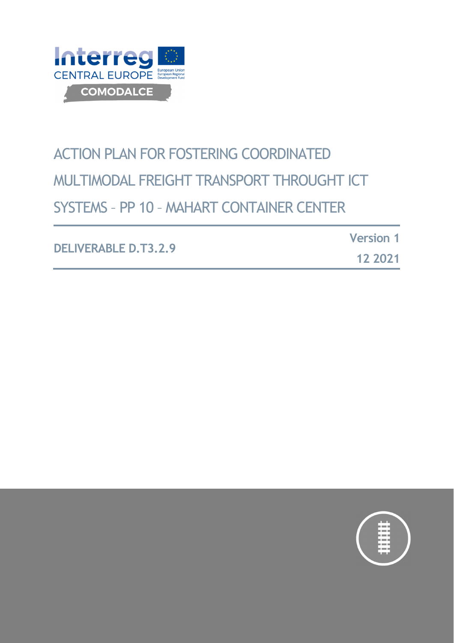

# ACTION PLAN FOR FOSTERING COORDINATED MULTIMODAL FREIGHT TRANSPORT THROUGHT ICT SYSTEMS – PP 10 – MAHART CONTAINER CENTER

**DELIVERABLE D.T3.2.9 Version 1 12 2021**

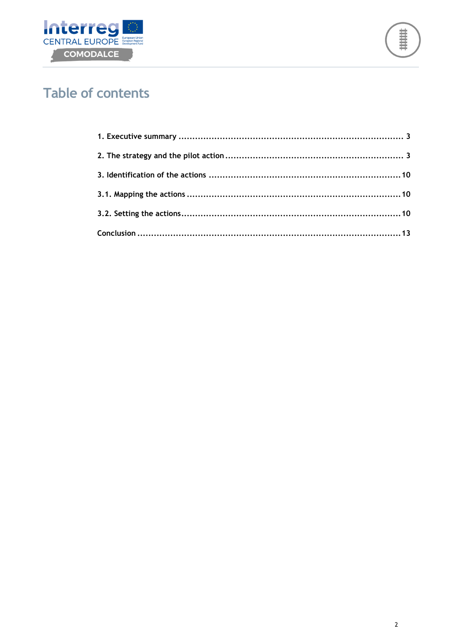



# **Table of contents**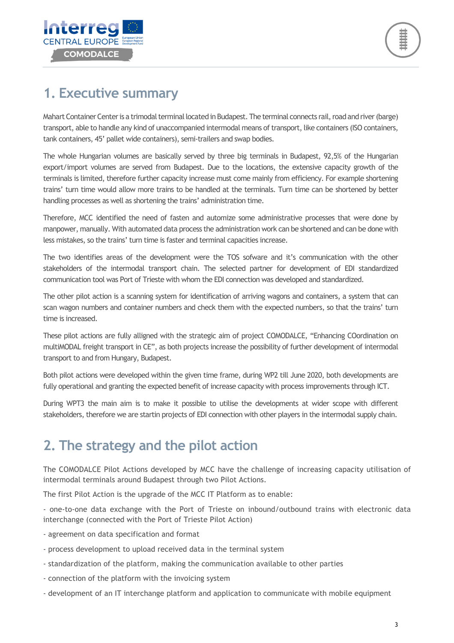

# **1. Executive summary**

Mahart Container Center is a trimodal terminal located in Budapest. The terminal connects rail, road and river (barge) transport, able to handle any kind of unaccompanied intermodal means of transport, like containers (ISO containers, tank containers, 45' pallet wide containers), semi-trailers and swap bodies.

The whole Hungarian volumes are basically served by three big terminals in Budapest, 92,5% of the Hungarian export/import volumes are served from Budapest. Due to the locations, the extensive capacity growth of the terminals is limited, therefore further capacity increase must come mainly from efficiency. For example shortening trains' turn time would allow more trains to be handled at the terminals. Turn time can be shortened by better handling processes as well as shortening the trains' administration time.

Therefore, MCC identified the need of fasten and automize some administrative processes that were done by manpower, manually. With automated data process the administration work can be shortened and can be done with less mistakes, so the trains' turn time is faster and terminal capacities increase.

The two identifies areas of the development were the TOS sofware and it's communication with the other stakeholders of the intermodal transport chain. The selected partner for development of EDI standardized communication tool was Port of Trieste with whom the EDI connection was developed and standardized.

The other pilot action is a scanning system for identification of arriving wagons and containers, a system that can scan wagon numbers and container numbers and check them with the expected numbers, so that the trains' turn time is increased.

These pilot actions are fully alligned with the strategic aim of project COMODALCE, "Enhancing COordination on multiMODAL freight transport in CE", as both projects increase the possibility of further development of intermodal transport to and from Hungary, Budapest.

Both pilot actions were developed within the given time frame, during WP2 till June 2020, both developments are fully operational and granting the expected benefit of increase capacity with process improvements through ICT.

During WPT3 the main aim is to make it possible to utilise the developments at wider scope with different stakeholders, therefore we are startin projects of EDI connection with other players in the intermodal supply chain.

# **2. The strategy and the pilot action**

The COMODALCE Pilot Actions developed by MCC have the challenge of increasing capacity utilisation of intermodal terminals around Budapest through two Pilot Actions.

The first Pilot Action is the upgrade of the MCC IT Platform as to enable:

- one-to-one data exchange with the Port of Trieste on inbound/outbound trains with electronic data interchange (connected with the Port of Trieste Pilot Action)

- agreement on data specification and format
- process development to upload received data in the terminal system
- standardization of the platform, making the communication available to other parties
- connection of the platform with the invoicing system
- development of an IT interchange platform and application to communicate with mobile equipment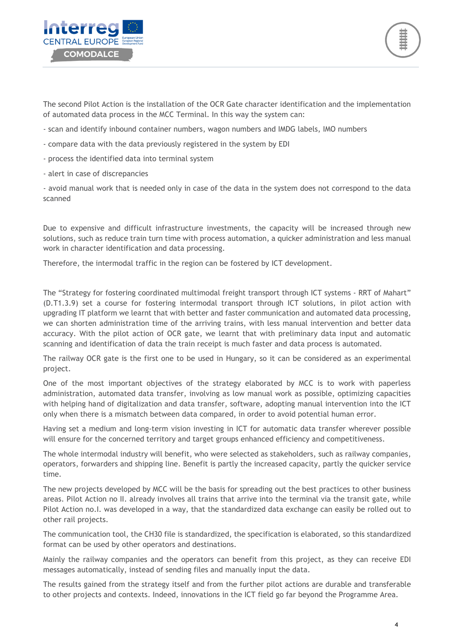

The second Pilot Action is the installation of the OCR Gate character identification and the implementation of automated data process in the MCC Terminal. In this way the system can:

- scan and identify inbound container numbers, wagon numbers and IMDG labels, IMO numbers
- compare data with the data previously registered in the system by EDI
- process the identified data into terminal system
- alert in case of discrepancies

- avoid manual work that is needed only in case of the data in the system does not correspond to the data scanned

Due to expensive and difficult infrastructure investments, the capacity will be increased through new solutions, such as reduce train turn time with process automation, a quicker administration and less manual work in character identification and data processing.

Therefore, the intermodal traffic in the region can be fostered by ICT development.

The "Strategy for fostering coordinated multimodal freight transport through ICT systems - RRT of Mahart" (D.T1.3.9) set a course for fostering intermodal transport through ICT solutions, in pilot action with upgrading IT platform we learnt that with better and faster communication and automated data processing, we can shorten administration time of the arriving trains, with less manual intervention and better data accuracy. With the pilot action of OCR gate, we learnt that with preliminary data input and automatic scanning and identification of data the train receipt is much faster and data process is automated.

The railway OCR gate is the first one to be used in Hungary, so it can be considered as an experimental project.

One of the most important objectives of the strategy elaborated by MCC is to work with paperless administration, automated data transfer, involving as low manual work as possible, optimizing capacities with helping hand of digitalization and data transfer, software, adopting manual intervention into the ICT only when there is a mismatch between data compared, in order to avoid potential human error.

Having set a medium and long-term vision investing in ICT for automatic data transfer wherever possible will ensure for the concerned territory and target groups enhanced efficiency and competitiveness.

The whole intermodal industry will benefit, who were selected as stakeholders, such as railway companies, operators, forwarders and shipping line. Benefit is partly the increased capacity, partly the quicker service time.

The new projects developed by MCC will be the basis for spreading out the best practices to other business areas. Pilot Action no II. already involves all trains that arrive into the terminal via the transit gate, while Pilot Action no.I. was developed in a way, that the standardized data exchange can easily be rolled out to other rail projects.

The communication tool, the CH30 file is standardized, the specification is elaborated, so this standardized format can be used by other operators and destinations.

Mainly the railway companies and the operators can benefit from this project, as they can receive EDI messages automatically, instead of sending files and manually input the data.

The results gained from the strategy itself and from the further pilot actions are durable and transferable to other projects and contexts. Indeed, innovations in the ICT field go far beyond the Programme Area.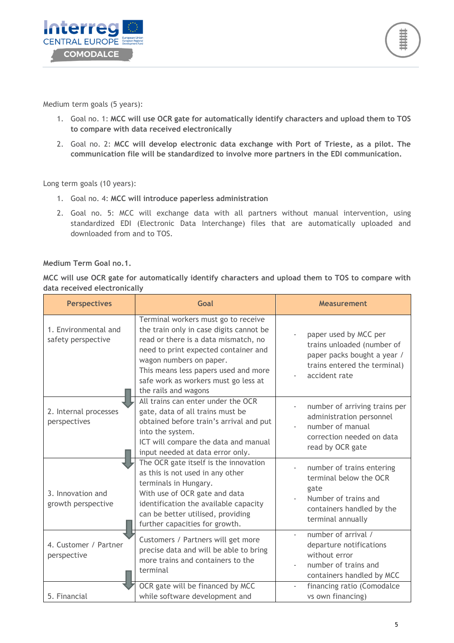

Medium term goals (5 years):

- 1. Goal no. 1: **MCC will use OCR gate for automatically identify characters and upload them to TOS to compare with data received electronically**
- 2. Goal no. 2: **MCC will develop electronic data exchange with Port of Trieste, as a pilot. The communication file will be standardized to involve more partners in the EDI communication.**

Long term goals (10 years):

- 1. Goal no. 4: **MCC will introduce paperless administration**
- 2. Goal no. 5: MCC will exchange data with all partners without manual intervention, using standardized EDI (Electronic Data Interchange) files that are automatically uploaded and downloaded from and to TOS.

### **Medium Term Goal no.1.**

**MCC will use OCR gate for automatically identify characters and upload them to TOS to compare with data received electronically** 

| <b>Perspectives</b>                        | Goal                                                                                                                                                                                                                                                                                              | <b>Measurement</b>                                                                                                                    |
|--------------------------------------------|---------------------------------------------------------------------------------------------------------------------------------------------------------------------------------------------------------------------------------------------------------------------------------------------------|---------------------------------------------------------------------------------------------------------------------------------------|
| 1. Environmental and<br>safety perspective | Terminal workers must go to receive<br>the train only in case digits cannot be<br>read or there is a data mismatch, no<br>need to print expected container and<br>wagon numbers on paper.<br>This means less papers used and more<br>safe work as workers must go less at<br>the rails and wagons | paper used by MCC per<br>trains unloaded (number of<br>paper packs bought a year /<br>trains entered the terminal)<br>accident rate   |
| 2. Internal processes<br>perspectives      | All trains can enter under the OCR<br>gate, data of all trains must be<br>obtained before train's arrival and put<br>into the system.<br>ICT will compare the data and manual<br>input needed at data error only.                                                                                 | number of arriving trains per<br>administration personnel<br>number of manual<br>correction needed on data<br>read by OCR gate        |
| 3. Innovation and<br>growth perspective    | The OCR gate itself is the innovation<br>as this is not used in any other<br>terminals in Hungary.<br>With use of OCR gate and data<br>identification the available capacity<br>can be better utilised, providing<br>further capacities for growth.                                               | number of trains entering<br>terminal below the OCR<br>gate<br>Number of trains and<br>containers handled by the<br>terminal annually |
| 4. Customer / Partner<br>perspective       | Customers / Partners will get more<br>precise data and will be able to bring<br>more trains and containers to the<br>terminal                                                                                                                                                                     | number of arrival /<br>departure notifications<br>without error<br>number of trains and<br>containers handled by MCC                  |
| 5. Financial                               | OCR gate will be financed by MCC<br>while software development and                                                                                                                                                                                                                                | financing ratio (Comodalce<br>vs own financing)                                                                                       |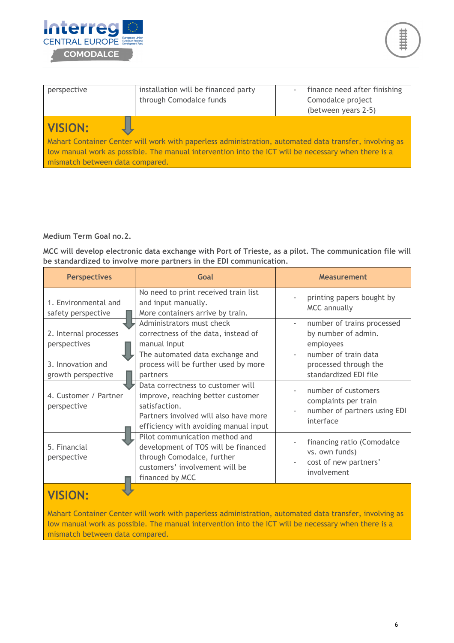



| perspective                                                                                            | installation will be financed party<br>through Comodalce funds | finance need after finishing<br>Comodalce project<br>(between years 2-5) |
|--------------------------------------------------------------------------------------------------------|----------------------------------------------------------------|--------------------------------------------------------------------------|
| <b>VISION:</b>                                                                                         |                                                                |                                                                          |
| Mahart Container Center will work with paperless administration, automated data transfer, involving as |                                                                |                                                                          |
| low manual work as possible. The manual intervention into the ICT will be necessary when there is a    |                                                                |                                                                          |
| mismatch between data compared.                                                                        |                                                                |                                                                          |

**Medium Term Goal no.2.** 

**MCC will develop electronic data exchange with Port of Trieste, as a pilot. The communication file will be standardized to involve more partners in the EDI communication.** 

| <b>Perspectives</b>                        | Goal                                                                                                                                                                      | <b>Measurement</b>                                                                       |
|--------------------------------------------|---------------------------------------------------------------------------------------------------------------------------------------------------------------------------|------------------------------------------------------------------------------------------|
| 1. Environmental and<br>safety perspective | No need to print received train list<br>and input manually.<br>More containers arrive by train.                                                                           | printing papers bought by<br><b>MCC</b> annually                                         |
| 2. Internal processes<br>perspectives      | Administrators must check<br>correctness of the data, instead of<br>manual input                                                                                          | number of trains processed<br>by number of admin.<br>employees                           |
| 3. Innovation and<br>growth perspective    | The automated data exchange and<br>process will be further used by more<br>partners                                                                                       | number of train data<br>processed through the<br>standardized EDI file                   |
| 4. Customer / Partner<br>perspective       | Data correctness to customer will<br>improve, reaching better customer<br>satisfaction.<br>Partners involved will also have more<br>efficiency with avoiding manual input | number of customers<br>complaints per train<br>number of partners using EDI<br>interface |
| 5. Financial<br>perspective                | Pilot communication method and<br>development of TOS will be financed<br>through Comodalce, further<br>customers' involvement will be<br>financed by MCC                  | financing ratio (Comodalce<br>vs. own funds)<br>cost of new partners'<br>involvement     |
| <b>VISION:</b>                             |                                                                                                                                                                           |                                                                                          |

Mahart Container Center will work with paperless administration, automated data transfer, involving as low manual work as possible. The manual intervention into the ICT will be necessary when there is a mismatch between data compared.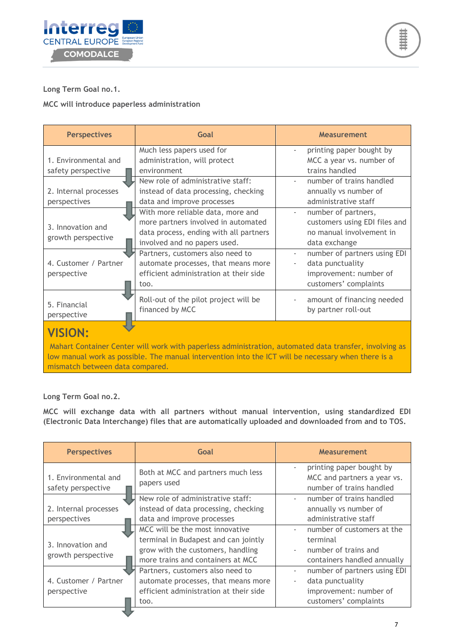



### **Long Term Goal no.1.**

#### **MCC will introduce paperless administration**

| <b>Perspectives</b>                                                                                                                                                                                                                                                | Goal                                                                                                                                                                                                                                                                            | Measurement                                                                                                                                                                                              |
|--------------------------------------------------------------------------------------------------------------------------------------------------------------------------------------------------------------------------------------------------------------------|---------------------------------------------------------------------------------------------------------------------------------------------------------------------------------------------------------------------------------------------------------------------------------|----------------------------------------------------------------------------------------------------------------------------------------------------------------------------------------------------------|
| 1. Environmental and<br>safety perspective                                                                                                                                                                                                                         | Much less papers used for<br>administration, will protect<br>environment<br>New role of administrative staff:                                                                                                                                                                   | printing paper bought by<br>MCC a year vs. number of<br>trains handled<br>number of trains handled                                                                                                       |
| 2. Internal processes<br>perspectives                                                                                                                                                                                                                              | instead of data processing, checking<br>data and improve processes                                                                                                                                                                                                              | annually vs number of<br>administrative staff                                                                                                                                                            |
| 3. Innovation and<br>growth perspective<br>4. Customer / Partner<br>perspective                                                                                                                                                                                    | With more reliable data, more and<br>more partners involved in automated<br>data process, ending with all partners<br>involved and no papers used.<br>Partners, customers also need to<br>automate processes, that means more<br>efficient administration at their side<br>too. | number of partners,<br>customers using EDI files and<br>no manual involvement in<br>data exchange<br>number of partners using EDI<br>data punctuality<br>improvement: number of<br>customers' complaints |
| 5. Financial<br>perspective                                                                                                                                                                                                                                        | Roll-out of the pilot project will be<br>financed by MCC                                                                                                                                                                                                                        | amount of financing needed<br>by partner roll-out                                                                                                                                                        |
| <b>VISION:</b><br>Mahart Container Center will work with paperless administration, automated data transfer, involving as<br>low manual work as possible. The manual intervention into the ICT will be necessary when there is a<br>mismatch between data compared. |                                                                                                                                                                                                                                                                                 |                                                                                                                                                                                                          |

### **Long Term Goal no.2.**

**MCC will exchange data with all partners without manual intervention, using standardized EDI (Electronic Data Interchange) files that are automatically uploaded and downloaded from and to TOS.** 

| <b>Perspectives</b>                                                                                                                                               | Goal                                                                                                                                              | <b>Measurement</b>                                                                                                              |
|-------------------------------------------------------------------------------------------------------------------------------------------------------------------|---------------------------------------------------------------------------------------------------------------------------------------------------|---------------------------------------------------------------------------------------------------------------------------------|
| 1. Environmental and<br>safety perspective                                                                                                                        | Both at MCC and partners much less<br>papers used                                                                                                 | printing paper bought by<br>MCC and partners a year vs.<br>number of trains handled                                             |
| 2. Internal processes<br>perspectives                                                                                                                             | New role of administrative staff:<br>instead of data processing, checking<br>data and improve processes                                           | number of trains handled<br>annually vs number of<br>administrative staff                                                       |
| 3. Innovation and<br>growth perspective                                                                                                                           | MCC will be the most innovative<br>terminal in Budapest and can jointly<br>grow with the customers, handling<br>more trains and containers at MCC | number of customers at the<br>terminal<br>number of trains and<br>containers handled annually                                   |
| Partners, customers also need to<br>4. Customer / Partner<br>automate processes, that means more<br>efficient administration at their side<br>perspective<br>too. |                                                                                                                                                   | number of partners using EDI<br>$\overline{\phantom{a}}$<br>data punctuality<br>improvement: number of<br>customers' complaints |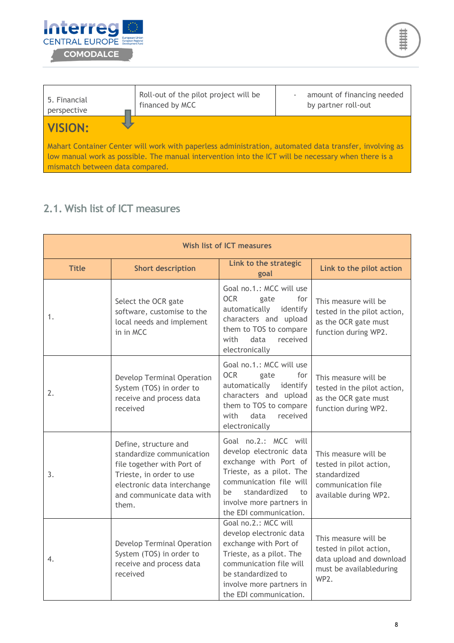



| 5. Financial<br>perspective                                                                                                                                                                                                                      | Roll-out of the pilot project will be<br>financed by MCC | amount of financing needed<br>by partner roll-out |
|--------------------------------------------------------------------------------------------------------------------------------------------------------------------------------------------------------------------------------------------------|----------------------------------------------------------|---------------------------------------------------|
| <b>VISION:</b>                                                                                                                                                                                                                                   |                                                          |                                                   |
| Mahart Container Center will work with paperless administration, automated data transfer, involving as<br>low manual work as possible. The manual intervention into the ICT will be necessary when there is a<br>mismatch between data compared. |                                                          |                                                   |

### **2.1. Wish list of ICT measures**

| <b>Wish list of ICT measures</b> |                                                                                                                                                                                   |                                                                                                                                                                                                                   |                                                                                                                |
|----------------------------------|-----------------------------------------------------------------------------------------------------------------------------------------------------------------------------------|-------------------------------------------------------------------------------------------------------------------------------------------------------------------------------------------------------------------|----------------------------------------------------------------------------------------------------------------|
| <b>Title</b>                     | <b>Short description</b>                                                                                                                                                          | Link to the strategic<br>goal                                                                                                                                                                                     | Link to the pilot action                                                                                       |
| 1.                               | Select the OCR gate<br>software, customise to the<br>local needs and implement<br>in in MCC                                                                                       | Goal no.1.: MCC will use<br><b>OCR</b><br>for<br>gate<br>automatically<br>identify<br>characters and upload<br>them to TOS to compare<br>with<br>data<br>received<br>electronically                               | This measure will be<br>tested in the pilot action,<br>as the OCR gate must<br>function during WP2.            |
| 2.                               | Develop Terminal Operation<br>System (TOS) in order to<br>receive and process data<br>received                                                                                    | Goal no.1.: MCC will use<br><b>OCR</b><br>for<br>gate<br>automatically identify<br>characters and upload<br>them to TOS to compare<br>with<br>data<br>received<br>electronically                                  | This measure will be<br>tested in the pilot action,<br>as the OCR gate must<br>function during WP2.            |
| 3.                               | Define, structure and<br>standardize communication<br>file together with Port of<br>Trieste, in order to use<br>electronic data interchange<br>and communicate data with<br>them. | Goal no.2.: MCC will<br>develop electronic data<br>exchange with Port of<br>Trieste, as a pilot. The<br>communication file will<br>standardized<br>to<br>be<br>involve more partners in<br>the EDI communication. | This measure will be<br>tested in pilot action,<br>standardized<br>communication file<br>available during WP2. |
| 4.                               | Develop Terminal Operation<br>System (TOS) in order to<br>receive and process data<br>received                                                                                    | Goal no.2.: MCC will<br>develop electronic data<br>exchange with Port of<br>Trieste, as a pilot. The<br>communication file will<br>be standardized to<br>involve more partners in<br>the EDI communication.       | This measure will be<br>tested in pilot action,<br>data upload and download<br>must be availableduring<br>WP2. |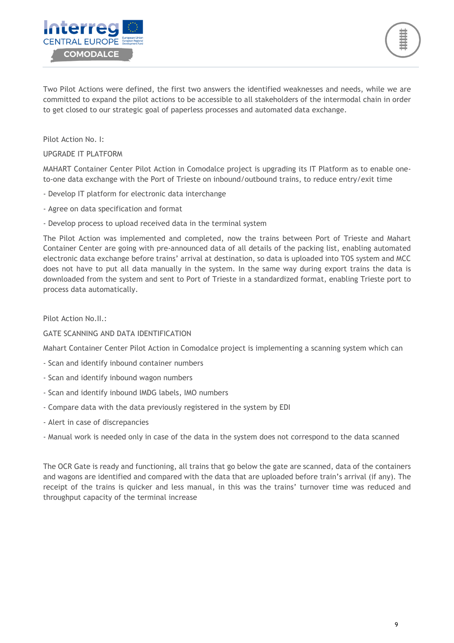

Two Pilot Actions were defined, the first two answers the identified weaknesses and needs, while we are committed to expand the pilot actions to be accessible to all stakeholders of the intermodal chain in order to get closed to our strategic goal of paperless processes and automated data exchange.

Pilot Action No. I:

### UPGRADE IT PLATFORM

MAHART Container Center Pilot Action in Comodalce project is upgrading its IT Platform as to enable oneto-one data exchange with the Port of Trieste on inbound/outbound trains, to reduce entry/exit time

- Develop IT platform for electronic data interchange
- Agree on data specification and format
- Develop process to upload received data in the terminal system

The Pilot Action was implemented and completed, now the trains between Port of Trieste and Mahart Container Center are going with pre-announced data of all details of the packing list, enabling automated electronic data exchange before trains' arrival at destination, so data is uploaded into TOS system and MCC does not have to put all data manually in the system. In the same way during export trains the data is downloaded from the system and sent to Port of Trieste in a standardized format, enabling Trieste port to process data automatically.

#### Pilot Action No.II.:

### GATE SCANNING AND DATA IDENTIFICATION

Mahart Container Center Pilot Action in Comodalce project is implementing a scanning system which can

- Scan and identify inbound container numbers
- Scan and identify inbound wagon numbers
- Scan and identify inbound IMDG labels, IMO numbers
- Compare data with the data previously registered in the system by EDI
- Alert in case of discrepancies
- Manual work is needed only in case of the data in the system does not correspond to the data scanned

The OCR Gate is ready and functioning, all trains that go below the gate are scanned, data of the containers and wagons are identified and compared with the data that are uploaded before train's arrival (if any). The receipt of the trains is quicker and less manual, in this was the trains' turnover time was reduced and throughput capacity of the terminal increase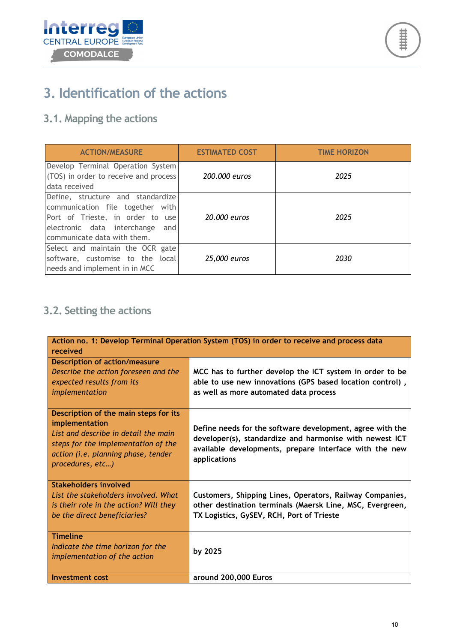



# **3. Identification of the actions**

### **3.1. Mapping the actions**

| <b>ACTION/MEASURE</b>                                                                                                                                                          | <b>ESTIMATED COST</b> | <b>TIME HORIZON</b> |
|--------------------------------------------------------------------------------------------------------------------------------------------------------------------------------|-----------------------|---------------------|
| Develop Terminal Operation System<br>(TOS) in order to receive and process<br>data received                                                                                    | 200,000 euros         | 2025                |
| Define, structure and standardize<br>communication file together with<br>Port of Trieste, in order to use<br>electronic data interchange<br>and<br>communicate data with them. | 20,000 euros          | 2025                |
| Select and maintain the OCR gate<br>software, customise to the local<br>needs and implement in in MCC                                                                          | 25,000 euros          | 2030                |

### **3.2. Setting the actions**

| Action no. 1: Develop Terminal Operation System (TOS) in order to receive and process data                                                                                                        |                                                                                                                                                                                                |
|---------------------------------------------------------------------------------------------------------------------------------------------------------------------------------------------------|------------------------------------------------------------------------------------------------------------------------------------------------------------------------------------------------|
| received                                                                                                                                                                                          |                                                                                                                                                                                                |
| <b>Description of action/measure</b><br>Describe the action foreseen and the<br>expected results from its<br>implementation                                                                       | MCC has to further develop the ICT system in order to be<br>able to use new innovations (GPS based location control),<br>as well as more automated data process                                |
| Description of the main steps for its<br>implementation<br>List and describe in detail the main<br>steps for the implementation of the<br>action (i.e. planning phase, tender<br>procedures, etc) | Define needs for the software development, agree with the<br>developer(s), standardize and harmonise with newest ICT<br>available developments, prepare interface with the new<br>applications |
| Stakeholders involved<br>List the stakeholders involved. What<br>is their role in the action? Will they<br>be the direct beneficiaries?                                                           | Customers, Shipping Lines, Operators, Railway Companies,<br>other destination terminals (Maersk Line, MSC, Evergreen,<br>TX Logistics, GySEV, RCH, Port of Trieste                             |
| <b>Timeline</b><br>Indicate the time horizon for the<br>implementation of the action                                                                                                              | by 2025                                                                                                                                                                                        |
| Investment cost                                                                                                                                                                                   | around 200,000 Euros                                                                                                                                                                           |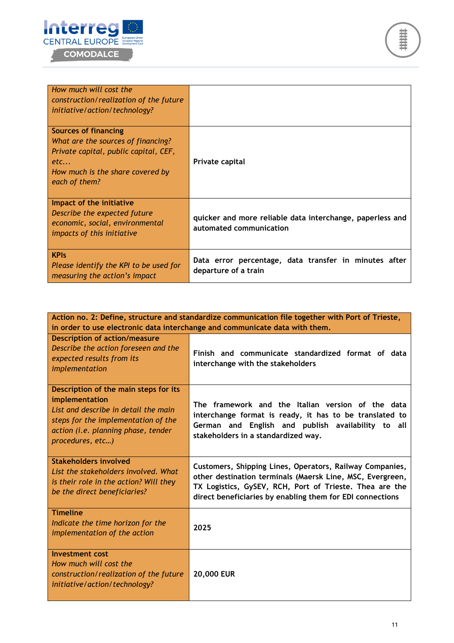



| How much will cost the<br>construction/realization of the future<br>initiative/action/technology?                                                               |                                                                                      |
|-----------------------------------------------------------------------------------------------------------------------------------------------------------------|--------------------------------------------------------------------------------------|
| Sources of financing<br>What are the sources of financing?<br>Private capital, public capital, CEF,<br>etc<br>How much is the share covered by<br>each of them? | Private capital                                                                      |
| Impact of the initiative<br>Describe the expected future<br>economic, social, environmental<br><i>impacts of this initiative</i>                                | quicker and more reliable data interchange, paperless and<br>automated communication |
| <b>KPIS</b><br>Please identify the KPI to be used for<br>measuring the action's impact                                                                          | Data error percentage, data transfer in minutes after<br>departure of a train        |

| Action no. 2: Define, structure and standardize communication file together with Port of Trieste,<br>in order to use electronic data interchange and communicate data with them.                  |                                                                                                                                                                                                                                               |
|---------------------------------------------------------------------------------------------------------------------------------------------------------------------------------------------------|-----------------------------------------------------------------------------------------------------------------------------------------------------------------------------------------------------------------------------------------------|
| <b>Description of action/measure</b><br>Describe the action foreseen and the<br>expected results from its<br>implementation                                                                       | Finish and communicate standardized format of data<br>interchange with the stakeholders                                                                                                                                                       |
| Description of the main steps for its<br>implementation<br>List and describe in detail the main<br>steps for the implementation of the<br>action (i.e. planning phase, tender<br>procedures, etc) | The framework and the Italian version of the data<br>interchange format is ready, it has to be translated to<br>German and English and publish availability to all<br>stakeholders in a standardized way.                                     |
| Stakeholders involved<br>List the stakeholders involved. What<br>is their role in the action? Will they<br>be the direct beneficiaries?                                                           | Customers, Shipping Lines, Operators, Railway Companies,<br>other destination terminals (Maersk Line, MSC, Evergreen,<br>TX Logistics, GySEV, RCH, Port of Trieste. Thea are the<br>direct beneficiaries by enabling them for EDI connections |
| <b>Timeline</b><br>Indicate the time horizon for the<br>implementation of the action                                                                                                              | 2025                                                                                                                                                                                                                                          |
| <b>Investment cost</b><br>How much will cost the<br>construction/realization of the future<br>initiative/action/technology?                                                                       | 20,000 EUR                                                                                                                                                                                                                                    |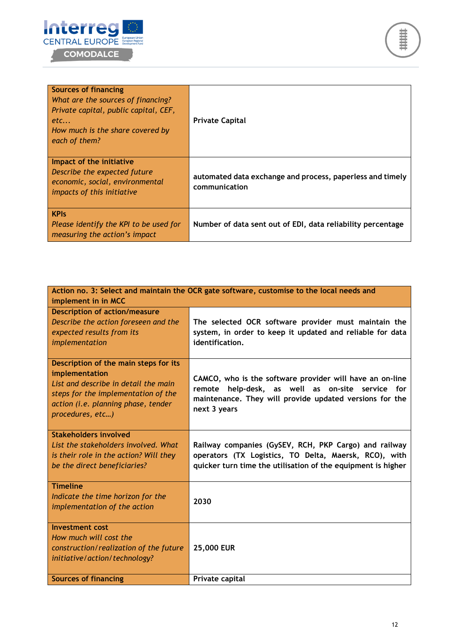



| <b>Sources of financing</b><br>What are the sources of financing?<br>Private capital, public capital, CEF,<br>etc<br>How much is the share covered by<br>each of them? | <b>Private Capital</b>                                                     |
|------------------------------------------------------------------------------------------------------------------------------------------------------------------------|----------------------------------------------------------------------------|
| Impact of the initiative<br>Describe the expected future<br>economic, social, environmental<br><i>impacts of this initiative</i>                                       | automated data exchange and process, paperless and timely<br>communication |
| <b>KPIs</b><br>Please identify the KPI to be used for<br>measuring the action's impact                                                                                 | Number of data sent out of EDI, data reliability percentage                |

| Action no. 3: Select and maintain the OCR gate software, customise to the local needs and<br>implement in in MCC                                                                                  |                                                                                                                                                                                               |
|---------------------------------------------------------------------------------------------------------------------------------------------------------------------------------------------------|-----------------------------------------------------------------------------------------------------------------------------------------------------------------------------------------------|
| <b>Description of action/measure</b><br>Describe the action foreseen and the<br>expected results from its<br>implementation                                                                       | The selected OCR software provider must maintain the<br>system, in order to keep it updated and reliable for data<br>identification.                                                          |
| Description of the main steps for its<br>implementation<br>List and describe in detail the main<br>steps for the implementation of the<br>action (i.e. planning phase, tender<br>procedures, etc) | CAMCO, who is the software provider will have an on-line<br>help-desk, as well as on-site<br>service for<br>remote<br>maintenance. They will provide updated versions for the<br>next 3 years |
| <b>Stakeholders involved</b><br>List the stakeholders involved. What<br>is their role in the action? Will they<br>be the direct beneficiaries?                                                    | Railway companies (GySEV, RCH, PKP Cargo) and railway<br>operators (TX Logistics, TO Delta, Maersk, RCO), with<br>quicker turn time the utilisation of the equipment is higher                |
| <b>Timeline</b><br>Indicate the time horizon for the<br>implementation of the action                                                                                                              | 2030                                                                                                                                                                                          |
| <b>Investment</b> cost<br>How much will cost the<br>construction/realization of the future<br>initiative/action/technology?                                                                       | 25,000 EUR                                                                                                                                                                                    |
| <b>Sources of financing</b>                                                                                                                                                                       | Private capital                                                                                                                                                                               |